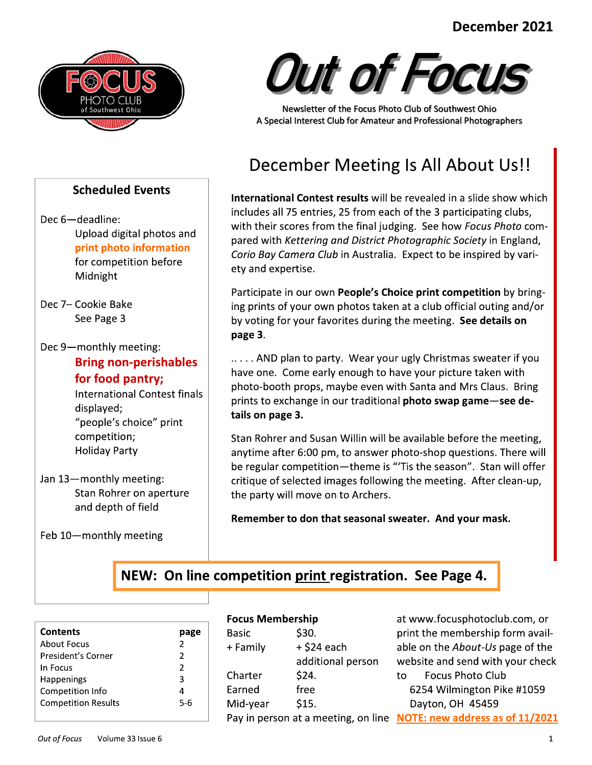#### in the contract of the contract of the contract of the contract of the contract of the contract of the contract of the contract of the contract of the contract of the contract of the contract of the contract of the contrac December 2021



### **Scheduled Events**

- Dec 6-deadline: Upload digital photos and print photo information for competition before Midnight
- Dec 7- Cookie Bake See Page 3
- Dec 9-monthly meeting: Bring non-perishables for food pantry;

International Contest finals displayed; "people's choice" print competition; Holiday Party

Jan  $13$  – monthly meeting: Stan Rohrer on aperture and depth of field

Feb  $10$ -monthly meeting



# December Meeting Is All About Us!!

December 2021<br>
Manufactured Rents<br>
Applications of the internet of the forest manufactured at the state of the state of the state of the state of the state of the state of the state of the state of the state of the state o December 2021<br>
Scheduled Events<br>
MacAluse Content and Content results will be mainly applied to the system of the content of the content of the content of the content of the content of the content of the content of the con December 2021<br>
Scheduled Events<br>
MacAluse Content and Content results will be mainted to the content of the content of the content of the content of the content of the content of the content of the content of the content o December 2021<br>
A considered Events<br>
A consideration of the consideration of the consideration of the consideration<br>
December Meeting Is All About Us!<br>
Scheduled Events<br>
December Meeting Is All About Us!<br>
Notice and the co Newsletter of the Focus Photo Club of Southwest Ohio<br>A Special Interest Club for Amateur and Professional Photographers<br>December Meeting Is All About Us!!<br>International Contest results will be revealed in a slide show whic includes all 75 entries, 25 from each of the 3 participating clubs,<br>with their scores from the final judging. See how *Focus Photo* com-A Special Interest Club for Amateur and Professional Photographers<br>
<br> **Example 1898**<br> **Example 1898**<br> **Example 1898**<br> **Example 1893**<br> **Example 1893**<br> **Example 1893**<br> **Example 1893**<br> **Example 1893**<br> **Example 1893**<br> **Example** Corio Bay Camera Club in Australia. Expect to be inspired by variety and expertise. International Contest results will be revealed in a slide show which<br>includes all 75 entries, 25 from each of the 3 participating clubs,<br>with their scores from the final judging. See how *Focus Photo* com-<br>pared with *Kett* International Contest results will be revealed in a slide show which<br>includes all 75 entries, 25 from each of the 3 participating clubs,<br>with their scores from the final judging. See how *Focus Photo* com-<br>pared with *Kett* 

by voting for your favorites during the meeting. See details on page 3.

Corio Bay Camera Club in Australia. Expect to be inspired by vari-<br>ety and expertise.<br>Participate in our own **People's Choice print competition** by bring-<br>ing prints of your own photos taken at a club official outing and/o ety and expertise.<br>
Participate in our own **People's Choice print competition** by bring-<br>
ing prints of your own photos taken at a club official outing and/or<br>
by voting for your favorites during the meeting. **See details** prints to exchange in our traditional **photo swap game**-see details on page 3.

Participate in our own **People's Choice print competition** by bring-<br>ing prints of your own photos taken at a club official outing and/or<br>by voting for your favorites during the meeting. **See details on**<br>**page 3.**<br>......AN page 3.<br>
..... AND plan to party. Wear your ugly Christmas sweater if you<br>
have one. Come early enough to have your picture taken with<br>
photo-booth props, maybe even with Santa and Mrs Claus. Bring<br>
prints to exchange in o Example 10 party. Wear your ugly Christmas sweater if you<br>have one. Come early enough to have your picture taken with<br>photo-booth props, maybe even with Santa and Mrs Claus. Bring<br>prints to exchange in our traditional **pho** ..... AND plan to party. Wear your ugly Christmas sweater if you<br>have one. Come early enough to have your picture taken with<br>photo-booth props, maybe even with Santa and Mrs Claus. Bring<br>prints to exchange in our tradition have one. Come early enough to have your picture taken with<br>photo-booth props, maybe even with Santa and Mrs Claus. Bring<br>prints to exchange in our traditional **photo swap game—see de-**<br>tails **on page 3.**<br>Stan Rohrer and S France text finals<br>
est finals<br>
prints to exchange in our traditional<br>
tails on page 3.<br>
Stan Rohrer and Susan Willin will be<br>
anytime after 6:00 pm, to answer ph<br>
be regular competition—theme is "<br>
critique of selected im

# NEW: On line competition print registration. See Page 4.

| <b>Contents</b>            |     |
|----------------------------|-----|
| About Focus                | 2   |
| President's Corner         | 2   |
| In Focus                   | 2   |
| <b>Happenings</b>          | 3   |
| Competition Info           | 4   |
| <b>Competition Results</b> | 5-6 |
|                            |     |

#### **Focus Membershin**

|                                  |                         | n line competition print registration. See Page 4. |                                                                     |
|----------------------------------|-------------------------|----------------------------------------------------|---------------------------------------------------------------------|
|                                  | <b>Focus Membership</b> |                                                    | at www.focusphotoclub.com, or                                       |
| page                             | <b>Basic</b>            | \$30.                                              | print the membership form avail-                                    |
| $\overline{2}$<br>$\overline{2}$ | + Family                | + \$24 each                                        | able on the About-Us page of the                                    |
| $\overline{2}$                   |                         | additional person                                  | website and send with your check                                    |
|                                  | Charter                 | \$24.                                              | <b>Focus Photo Club</b><br>to l                                     |
| 4                                | Earned                  | free                                               | 6254 Wilmington Pike #1059                                          |
| $5-6$                            | Mid-year                | \$15.                                              | Dayton, OH 45459                                                    |
|                                  |                         |                                                    | Pay in person at a meeting, on line NOTE: new address as of 11/2021 |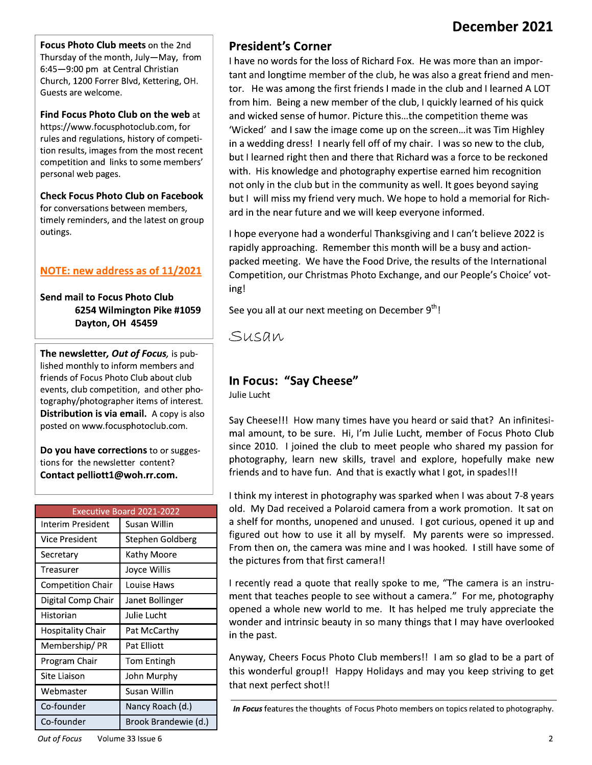Focus Photo Club meets on the 2nd Thursday of the month, July-May, from 6:45-9:00 pm at Central Christian Church, 1200 Forrer Blvd, Kettering, OH. Guests are welcome.

Find Focus Photo Club on the web at https://www.focusphotoclub.com, for rules and regulations, history of competition results, images from the most recent competition and links to some members' personal web pages.

**Check Focus Photo Club on Facebook** for conversations between members, timely reminders, and the latest on group outings.

#### NOTE: new address as of 11/2021

Send mail to Focus Photo Club 6254 Wilmington Pike #1059 Dayton, OH 45459

The newsletter, Out of Focus, is published monthly to inform members and friends of Focus Photo Club about club events, club competition, and other photography/photographer items of interest. Distribution is via email. A copy is also posted on www.focusphotoclub.com.

Do you have corrections to or suggestions for the newsletter content? Contact pelliott1@woh.rr.com.

| <b>Executive Board 2021-2022</b> |                      |  |  |  |
|----------------------------------|----------------------|--|--|--|
| Interim President                | Susan Willin         |  |  |  |
| Vice President                   | Stephen Goldberg     |  |  |  |
| Secretary                        | Kathy Moore          |  |  |  |
| Treasurer                        | Joyce Willis         |  |  |  |
| <b>Competition Chair</b>         | Louise Haws          |  |  |  |
| Digital Comp Chair               | Janet Bollinger      |  |  |  |
| Historian                        | Julie Lucht          |  |  |  |
| <b>Hospitality Chair</b>         | Pat McCarthy         |  |  |  |
| Membership/ PR                   | Pat Elliott          |  |  |  |
| Program Chair                    | <b>Tom Entingh</b>   |  |  |  |
| Site Liaison                     | John Murphy          |  |  |  |
| Webmaster                        | Susan Willin         |  |  |  |
| Co-founder                       | Nancy Roach (d.)     |  |  |  |
| Co-founder                       | Brook Brandewie (d.) |  |  |  |

### **President's Corner**

I have no words for the loss of Richard Fox. He was more than an important and longtime member of the club, he was also a great friend and mentor. He was among the first friends I made in the club and I learned A LOT from him. Being a new member of the club, I quickly learned of his quick and wicked sense of humor. Picture this...the competition theme was 'Wicked' and I saw the image come up on the screen... it was Tim Highley in a wedding dress! I nearly fell off of my chair. I was so new to the club, but I learned right then and there that Richard was a force to be reckoned with. His knowledge and photography expertise earned him recognition not only in the club but in the community as well. It goes beyond saying but I will miss my friend very much. We hope to hold a memorial for Richard in the near future and we will keep everyone informed.

I hope everyone had a wonderful Thanksgiving and I can't believe 2022 is rapidly approaching. Remember this month will be a busy and actionpacked meeting. We have the Food Drive, the results of the International Competition, our Christmas Photo Exchange, and our People's Choice' voting!

See you all at our next meeting on December 9th!

Susan

### In Focus: "Say Cheese"

Julie Lucht

Say Cheese!!! How many times have you heard or said that? An infinitesimal amount, to be sure. Hi, I'm Julie Lucht, member of Focus Photo Club since 2010. I joined the club to meet people who shared my passion for photography, learn new skills, travel and explore, hopefully make new friends and to have fun. And that is exactly what I got, in spades!!!

I think my interest in photography was sparked when I was about 7-8 years old. My Dad received a Polaroid camera from a work promotion. It sat on a shelf for months, unopened and unused. I got curious, opened it up and figured out how to use it all by myself. My parents were so impressed. From then on, the camera was mine and I was hooked. I still have some of the pictures from that first camera!!

I recently read a quote that really spoke to me, "The camera is an instrument that teaches people to see without a camera." For me, photography opened a whole new world to me. It has helped me truly appreciate the wonder and intrinsic beauty in so many things that I may have overlooked in the past.

Anyway, Cheers Focus Photo Club members!! I am so glad to be a part of this wonderful group!! Happy Holidays and may you keep striving to get that next perfect shot!!

In Focus features the thoughts of Focus Photo members on topics related to photography.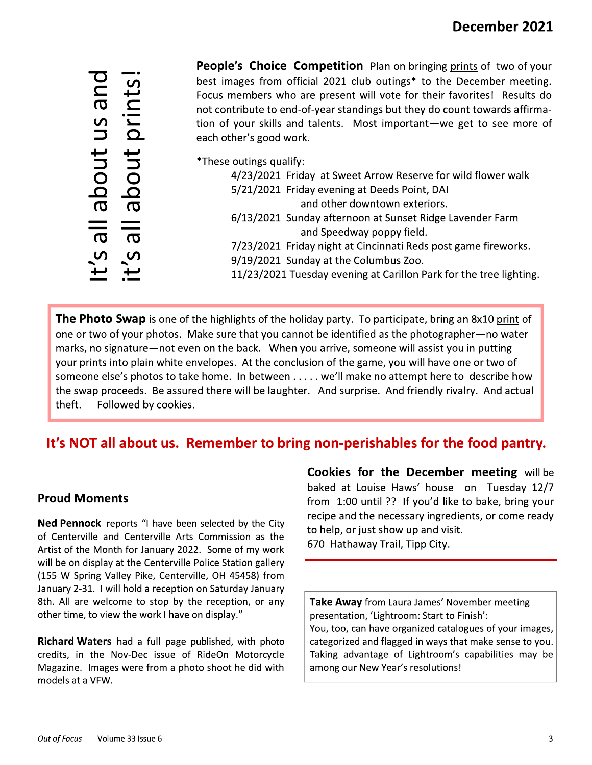about us and bout prints  $\overline{\sigma}$  $\boldsymbol{\sigma}$ 

People's Choice Competition Plan on bringing prints of two of your best images from official 2021 club outings\* to the December meeting. Focus members who are present will vote for their favorites! Results do not contribute to end-of-year standings but they do count towards affirmation of your skills and talents. Most important-we get to see more of each other's good work.

\*These outings qualify:

| 4/23/2021 Friday at Sweet Arrow Reserve for wild flower walk       |  |
|--------------------------------------------------------------------|--|
| 5/21/2021 Friday evening at Deeds Point, DAI                       |  |
| and other downtown exteriors.                                      |  |
| 6/13/2021 Sunday afternoon at Sunset Ridge Lavender Farm           |  |
| and Speedway poppy field.                                          |  |
| 7/23/2021 Friday night at Cincinnati Reds post game fireworks.     |  |
| 9/19/2021 Sunday at the Columbus Zoo.                              |  |
| 11/23/2021 Tuesday evening at Carillon Park for the tree lighting. |  |
|                                                                    |  |

**The Photo Swap** is one of the highlights of the holiday party. To participate, bring an 8x10 print of one or two of your photos. Make sure that you cannot be identified as the photographer-no water marks, no signature—not even on the back. When you arrive, someone will assist you in putting your prints into plain white envelopes. At the conclusion of the game, you will have one or two of someone else's photos to take home. In between . . . . . we'll make no attempt here to describe how the swap proceeds. Be assured there will be laughter. And surprise. And friendly rivalry. And actual theft. Followed by cookies.

# It's NOT all about us. Remember to bring non-perishables for the food pantry.

#### **Proud Moments**

Ned Pennock reports "I have been selected by the City of Centerville and Centerville Arts Commission as the Artist of the Month for January 2022. Some of my work will be on display at the Centerville Police Station gallery (155 W Spring Valley Pike, Centerville, OH 45458) from January 2-31. I will hold a reception on Saturday January 8th. All are welcome to stop by the reception, or any other time, to view the work I have on display."

**Richard Waters** had a full page published, with photo credits, in the Nov-Dec issue of RideOn Motorcycle Magazine. Images were from a photo shoot he did with models at a VFW.

**Cookies for the December meeting will be** baked at Louise Haws' house on Tuesday 12/7 from 1:00 until ?? If you'd like to bake, bring your recipe and the necessary ingredients, or come ready to help, or just show up and visit. 670 Hathaway Trail, Tipp City.

Take Away from Laura James' November meeting presentation, 'Lightroom: Start to Finish': You, too, can have organized catalogues of your images, categorized and flagged in ways that make sense to you. Taking advantage of Lightroom's capabilities may be among our New Year's resolutions!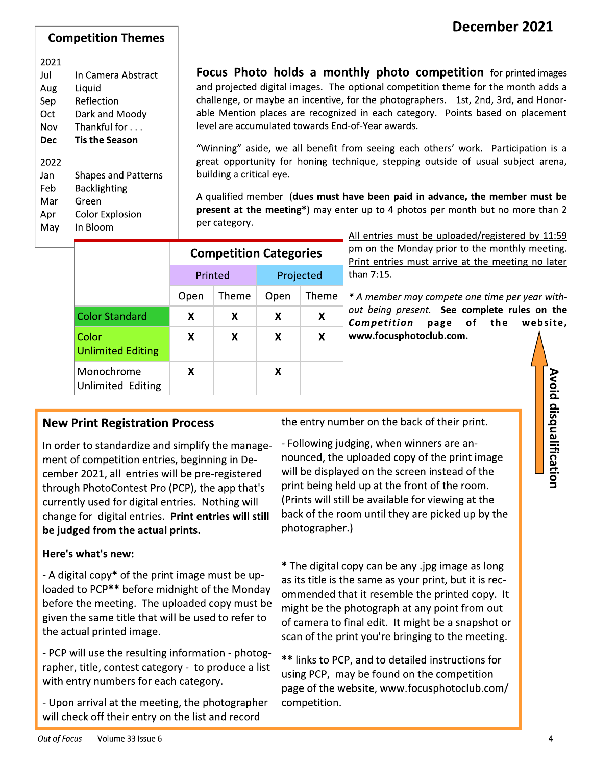#### **Competition Themes**

#### 2021

May

| Jul  | In Camera Abstract         |
|------|----------------------------|
| Aug  | Liquid                     |
| Sep  | Reflection                 |
| Oct  | Dark and Moody             |
| Nov  | Thankful for               |
| Dec  | Tis the Season             |
| 2022 |                            |
| Jan  | <b>Shapes and Patterns</b> |
| Feb  | Backlighting               |
| Mar  | Green                      |
| Apr  | Color Explosion            |

In Bloom

Focus Photo holds a monthly photo competition for printed images and projected digital images. The optional competition theme for the month adds a challenge, or maybe an incentive, for the photographers. 1st, 2nd, 3rd, and Honorable Mention places are recognized in each category. Points based on placement level are accumulated towards End-of-Year awards.

"Winning" aside, we all benefit from seeing each others' work. Participation is a great opportunity for honing technique, stepping outside of usual subject arena, building a critical eye.

A qualified member (dues must have been paid in advance, the member must be present at the meeting\*) may enter up to 4 photos per month but no more than 2 per category.

|                                   |         | <b>Competition Categories</b> |           |       |
|-----------------------------------|---------|-------------------------------|-----------|-------|
|                                   | Printed |                               | Projected |       |
|                                   | Open    | Theme                         | Open      | Theme |
| <b>Color Standard</b>             | X       | X                             | X         | x     |
| Color<br><b>Unlimited Editing</b> | X       | X                             | X         | x     |
| Monochrome<br>Unlimited Editing   | x       |                               | x         |       |

All entries must be uploaded/registered by 11:59 pm on the Monday prior to the monthly meeting. Print entries must arrive at the meeting no later than 7:15.

\* A member may compete one time per year without being present. See complete rules on the Competition page of the website, www.focusphotoclub.com.

### **New Print Registration Process**

In order to standardize and simplify the management of competition entries, beginning in December 2021, all entries will be pre-registered through PhotoContest Pro (PCP), the app that's currently used for digital entries. Nothing will change for digital entries. Print entries will still be judged from the actual prints.

#### Here's what's new:

- A digital copy\* of the print image must be uploaded to PCP\*\* before midnight of the Monday before the meeting. The uploaded copy must be given the same title that will be used to refer to the actual printed image.

- PCP will use the resulting information - photographer, title, contest category - to produce a list with entry numbers for each category.

- Upon arrival at the meeting, the photographer will check off their entry on the list and record

the entry number on the back of their print.

- Following judging, when winners are announced, the uploaded copy of the print image will be displayed on the screen instead of the print being held up at the front of the room. (Prints will still be available for viewing at the back of the room until they are picked up by the photographer.)

\* The digital copy can be any .jpg image as long as its title is the same as your print, but it is recommended that it resemble the printed copy. It might be the photograph at any point from out of camera to final edit. It might be a snapshot or scan of the print you're bringing to the meeting.

\*\* links to PCP, and to detailed instructions for using PCP, may be found on the competition page of the website, www.focusphotoclub.com/ competition.

Avoid disqualification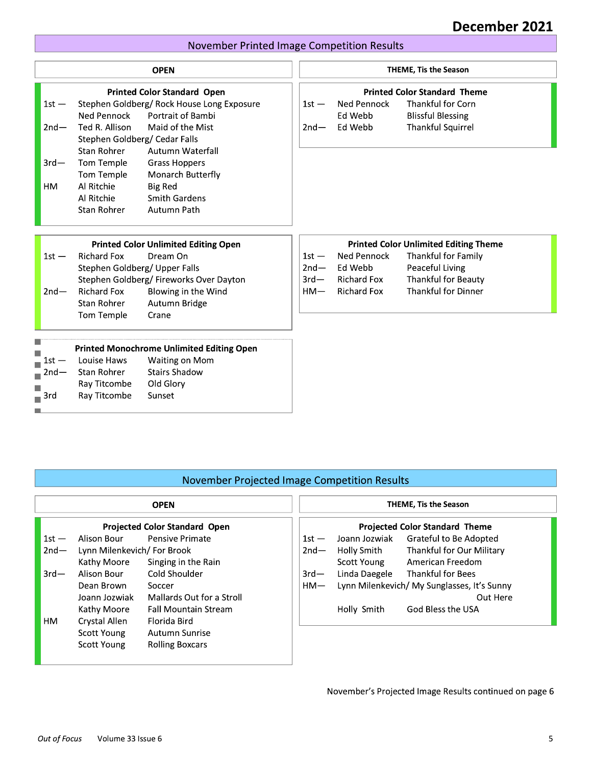#### <u>- 1988 - 1988 - 1988 - 1988 - 1988 - 1988 - 1988 - 1988 - 1988 - 1988 - 1988 - 1988 - 1988 - 1988 - 1988 - 19</u> <u>ecember 2021 |</u>

### November Printed Image Competition Results

|                                    |                                                                                                                     |                                                                                                                                                                                                                                                                                      |                             |                                                     | December 2021                                                                                                           |
|------------------------------------|---------------------------------------------------------------------------------------------------------------------|--------------------------------------------------------------------------------------------------------------------------------------------------------------------------------------------------------------------------------------------------------------------------------------|-----------------------------|-----------------------------------------------------|-------------------------------------------------------------------------------------------------------------------------|
|                                    |                                                                                                                     | <b>November Printed Image Competition Results</b>                                                                                                                                                                                                                                    |                             |                                                     |                                                                                                                         |
|                                    |                                                                                                                     | <b>OPEN</b>                                                                                                                                                                                                                                                                          |                             |                                                     | <b>THEME, Tis the Season</b>                                                                                            |
| $1st -$<br>$2nd-$<br>$3rd-$<br>HM. | Ned Pennock<br>Ted R. Allison<br>Stan Rohrer<br>Tom Temple<br>Tom Temple<br>Al Ritchie<br>Al Ritchie<br>Stan Rohrer | <b>Printed Color Standard Open</b><br>Stephen Goldberg/ Rock House Long Exposure<br>Portrait of Bambi<br>Maid of the Mist<br>Stephen Goldberg/ Cedar Falls<br>Autumn Waterfall<br><b>Grass Hoppers</b><br>Monarch Butterfly<br><b>Big Red</b><br><b>Smith Gardens</b><br>Autumn Path | $1st -$<br>$2nd-$           | Ned Pennock<br>Ed Webb<br>Ed Webb                   | <b>Printed Color Standard Theme</b><br><b>Thankful for Corn</b><br><b>Blissful Blessing</b><br><b>Thankful Squirrel</b> |
| $1st -$                            | <b>Richard Fox</b>                                                                                                  | <b>Printed Color Unlimited Editing Open</b><br>Dream On                                                                                                                                                                                                                              | $1st -$                     | Ned Pennock                                         | <b>Printed Color Unlimited Editing Theme</b><br>Thankful for Family                                                     |
| $2nd -$                            | <b>Richard Fox</b><br><b>Stan Rohrer</b><br>Tom Temple                                                              | Stephen Goldberg/ Upper Falls<br>Stephen Goldberg/ Fireworks Over Dayton<br>Blowing in the Wind<br>Autumn Bridge<br>Crane                                                                                                                                                            | $2nd -$<br>$3rd-$<br>$HM -$ | Ed Webb<br><b>Richard Fox</b><br><b>Richard Fox</b> | Peaceful Living<br>Thankful for Beauty<br><b>Thankful for Dinner</b>                                                    |
| $1st -$<br>$2nd-$<br>3rd           | Louise Haws<br><b>Stan Rohrer</b><br>Ray Titcombe<br>Ray Titcombe                                                   | <b>Printed Monochrome Unlimited Editing Open</b><br>Waiting on Mom<br><b>Stairs Shadow</b><br>Old Glory<br>Sunset                                                                                                                                                                    |                             |                                                     |                                                                                                                         |

| November Projected Image Competition Results |
|----------------------------------------------|
|                                              |

|                                      |                             | November Projected Image Competition Results |         |                                       |                                             |
|--------------------------------------|-----------------------------|----------------------------------------------|---------|---------------------------------------|---------------------------------------------|
|                                      |                             | <b>OPEN</b>                                  |         |                                       | <b>THEME, Tis the Season</b>                |
| <b>Projected Color Standard Open</b> |                             |                                              |         | <b>Projected Color Standard Theme</b> |                                             |
| $1st -$                              | Alison Bour                 | Pensive Primate                              | $1st -$ | Joann Jozwiak                         | Grateful to Be Adopted                      |
| $2nd-$                               | Lynn Milenkevich/ For Brook |                                              | $2nd-$  | Holly Smith                           | Thankful for Our Military                   |
|                                      | Kathy Moore                 | Singing in the Rain                          |         | Scott Young                           | American Freedom                            |
| $3rd-$                               | Alison Bour                 | Cold Shoulder                                | $3rd-$  |                                       | Linda Daegele Thankful for Bees             |
|                                      | Dean Brown                  | Soccer                                       | $HM-$   |                                       | Lynn Milenkevich/ My Sunglasses, It's Sunny |
|                                      | Joann Jozwiak               | Mallards Out for a Stroll                    |         |                                       | Out Here                                    |
|                                      | Kathy Moore                 | <b>Fall Mountain Stream</b>                  |         | Holly Smith                           | God Bless the USA                           |
| HM                                   | Crystal Allen               | Florida Bird                                 |         |                                       |                                             |
|                                      | Scott Young                 | Autumn Sunrise                               |         |                                       |                                             |
|                                      | Scott Young                 | <b>Rolling Boxcars</b>                       |         |                                       |                                             |

November's Projected Image Results continued on page 6